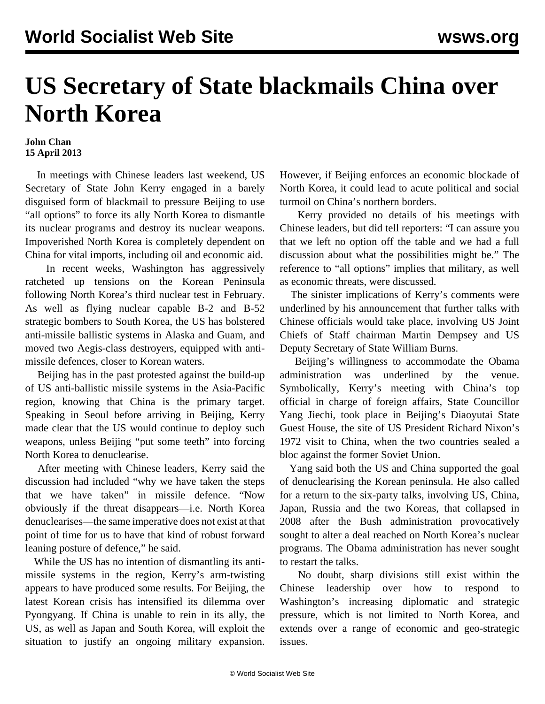## **US Secretary of State blackmails China over North Korea**

## **John Chan 15 April 2013**

 In meetings with Chinese leaders last weekend, US Secretary of State John Kerry engaged in a barely disguised form of blackmail to pressure Beijing to use "all options" to force its ally North Korea to dismantle its nuclear programs and destroy its nuclear weapons. Impoverished North Korea is completely dependent on China for vital imports, including oil and economic aid.

 In recent weeks, Washington has aggressively ratcheted up tensions on the Korean Peninsula following North Korea's third nuclear test in February. As well as flying nuclear capable B-2 and B-52 strategic bombers to South Korea, the US has bolstered anti-missile ballistic systems in Alaska and Guam, and moved two Aegis-class destroyers, equipped with antimissile defences, closer to Korean waters.

 Beijing has in the past protested against the build-up of US anti-ballistic missile systems in the Asia-Pacific region, knowing that China is the primary target. Speaking in Seoul before arriving in Beijing, Kerry made clear that the US would continue to deploy such weapons, unless Beijing "put some teeth" into forcing North Korea to denuclearise.

 After meeting with Chinese leaders, Kerry said the discussion had included "why we have taken the steps that we have taken" in missile defence. "Now obviously if the threat disappears—i.e. North Korea denuclearises—the same imperative does not exist at that point of time for us to have that kind of robust forward leaning posture of defence," he said.

 While the US has no intention of dismantling its antimissile systems in the region, Kerry's arm-twisting appears to have produced some results. For Beijing, the latest Korean crisis has intensified its dilemma over Pyongyang. If China is unable to rein in its ally, the US, as well as Japan and South Korea, will exploit the situation to justify an ongoing military expansion. However, if Beijing enforces an economic blockade of North Korea, it could lead to acute political and social turmoil on China's northern borders.

 Kerry provided no details of his meetings with Chinese leaders, but did tell reporters: "I can assure you that we left no option off the table and we had a full discussion about what the possibilities might be." The reference to "all options" implies that military, as well as economic threats, were discussed.

 The sinister implications of Kerry's comments were underlined by his announcement that further talks with Chinese officials would take place, involving US Joint Chiefs of Staff chairman Martin Dempsey and US Deputy Secretary of State William Burns.

 Beijing's willingness to accommodate the Obama administration was underlined by the venue. Symbolically, Kerry's meeting with China's top official in charge of foreign affairs, State Councillor Yang Jiechi, took place in Beijing's Diaoyutai State Guest House, the site of US President Richard Nixon's 1972 visit to China, when the two countries sealed a bloc against the former Soviet Union.

 Yang said both the US and China supported the goal of denuclearising the Korean peninsula. He also called for a return to the six-party talks, involving US, China, Japan, Russia and the two Koreas, that collapsed in 2008 after the Bush administration provocatively sought to alter a deal reached on North Korea's nuclear programs. The Obama administration has never sought to restart the talks.

 No doubt, sharp divisions still exist within the Chinese leadership over how to respond to Washington's increasing diplomatic and strategic pressure, which is not limited to North Korea, and extends over a range of economic and geo-strategic issues.